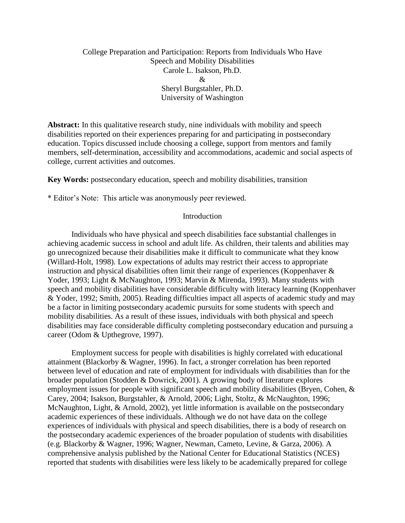# College Preparation and Participation: Reports from Individuals Who Have Speech and Mobility Disabilities Carole L. Isakson, Ph.D. & Sheryl Burgstahler, Ph.D. University of Washington

**Abstract:** In this qualitative research study, nine individuals with mobility and speech disabilities reported on their experiences preparing for and participating in postsecondary education. Topics discussed include choosing a college, support from mentors and family members, self-determination, accessibility and accommodations, academic and social aspects of college, current activities and outcomes.

**Key Words:** postsecondary education, speech and mobility disabilities, transition

\* Editor's Note: This article was anonymously peer reviewed.

#### Introduction

Individuals who have physical and speech disabilities face substantial challenges in achieving academic success in school and adult life. As children, their talents and abilities may go unrecognized because their disabilities make it difficult to communicate what they know (Willard-Holt, 1998). Low expectations of adults may restrict their access to appropriate instruction and physical disabilities often limit their range of experiences (Koppenhaver & Yoder, 1993; Light & McNaughton, 1993; Marvin & Mirenda, 1993). Many students with speech and mobility disabilities have considerable difficulty with literacy learning (Koppenhaver & Yoder, 1992; Smith, 2005). Reading difficulties impact all aspects of academic study and may be a factor in limiting postsecondary academic pursuits for some students with speech and mobility disabilities. As a result of these issues, individuals with both physical and speech disabilities may face considerable difficulty completing postsecondary education and pursuing a career (Odom & Upthegrove, 1997).

Employment success for people with disabilities is highly correlated with educational attainment (Blackorby & Wagner, 1996). In fact, a stronger correlation has been reported between level of education and rate of employment for individuals with disabilities than for the broader population (Stodden & Dowrick, 2001). A growing body of literature explores employment issues for people with significant speech and mobility disabilities (Bryen, Cohen, & Carey, 2004; Isakson, Burgstahler, & Arnold, 2006; Light, Stoltz, & McNaughton, 1996; McNaughton, Light, & Arnold, 2002), yet little information is available on the postsecondary academic experiences of these individuals. Although we do not have data on the college experiences of individuals with physical and speech disabilities, there is a body of research on the postsecondary academic experiences of the broader population of students with disabilities (e.g. Blackorby & Wagner, 1996; Wagner, Newman, Cameto, Levine, & Garza, 2006). A comprehensive analysis published by the National Center for Educational Statistics (NCES) reported that students with disabilities were less likely to be academically prepared for college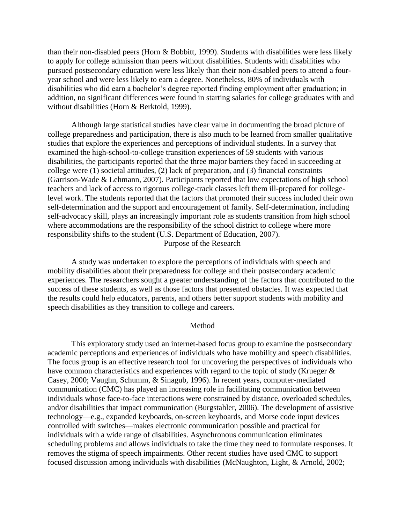than their non-disabled peers (Horn & Bobbitt, 1999). Students with disabilities were less likely to apply for college admission than peers without disabilities. Students with disabilities who pursued postsecondary education were less likely than their non-disabled peers to attend a fouryear school and were less likely to earn a degree. Nonetheless, 80% of individuals with disabilities who did earn a bachelor's degree reported finding employment after graduation; in addition, no significant differences were found in starting salaries for college graduates with and without disabilities (Horn & Berktold, 1999).

Although large statistical studies have clear value in documenting the broad picture of college preparedness and participation, there is also much to be learned from smaller qualitative studies that explore the experiences and perceptions of individual students. In a survey that examined the high-school-to-college transition experiences of 59 students with various disabilities, the participants reported that the three major barriers they faced in succeeding at college were (1) societal attitudes, (2) lack of preparation, and (3) financial constraints (Garrison-Wade & Lehmann, 2007). Participants reported that low expectations of high school teachers and lack of access to rigorous college-track classes left them ill-prepared for collegelevel work. The students reported that the factors that promoted their success included their own self-determination and the support and encouragement of family. Self-determination, including self-advocacy skill, plays an increasingly important role as students transition from high school where accommodations are the responsibility of the school district to college where more responsibility shifts to the student (U.S. Department of Education, 2007).

Purpose of the Research

A study was undertaken to explore the perceptions of individuals with speech and mobility disabilities about their preparedness for college and their postsecondary academic experiences. The researchers sought a greater understanding of the factors that contributed to the success of these students, as well as those factors that presented obstacles. It was expected that the results could help educators, parents, and others better support students with mobility and speech disabilities as they transition to college and careers.

#### Method

This exploratory study used an internet-based focus group to examine the postsecondary academic perceptions and experiences of individuals who have mobility and speech disabilities. The focus group is an effective research tool for uncovering the perspectives of individuals who have common characteristics and experiences with regard to the topic of study (Krueger  $\&$ Casey, 2000; Vaughn, Schumm, & Sinagub, 1996). In recent years, computer-mediated communication (CMC) has played an increasing role in facilitating communication between individuals whose face-to-face interactions were constrained by distance, overloaded schedules, and/or disabilities that impact communication (Burgstahler, 2006). The development of assistive technology—e.g., expanded keyboards, on-screen keyboards, and Morse code input devices controlled with switches—makes electronic communication possible and practical for individuals with a wide range of disabilities. Asynchronous communication eliminates scheduling problems and allows individuals to take the time they need to formulate responses. It removes the stigma of speech impairments. Other recent studies have used CMC to support focused discussion among individuals with disabilities (McNaughton, Light, & Arnold, 2002;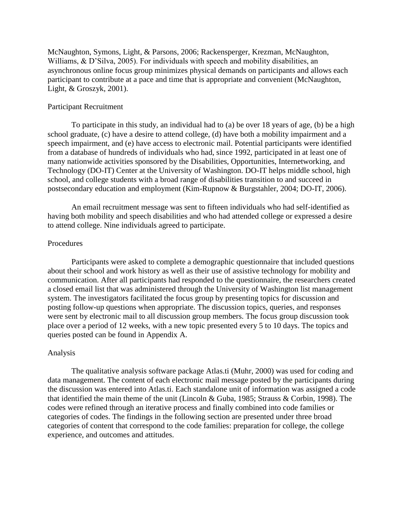McNaughton, Symons, Light, & Parsons, 2006; Rackensperger, Krezman, McNaughton, Williams, & D'Silva, 2005). For individuals with speech and mobility disabilities, an asynchronous online focus group minimizes physical demands on participants and allows each participant to contribute at a pace and time that is appropriate and convenient (McNaughton, Light, & Groszyk, 2001).

### Participant Recruitment

To participate in this study, an individual had to (a) be over 18 years of age, (b) be a high school graduate, (c) have a desire to attend college, (d) have both a mobility impairment and a speech impairment, and (e) have access to electronic mail. Potential participants were identified from a database of hundreds of individuals who had, since 1992, participated in at least one of many nationwide activities sponsored by the Disabilities, Opportunities, Internetworking, and Technology (DO-IT) Center at the University of Washington. DO-IT helps middle school, high school, and college students with a broad range of disabilities transition to and succeed in postsecondary education and employment (Kim-Rupnow & Burgstahler, 2004; DO-IT, 2006).

An email recruitment message was sent to fifteen individuals who had self-identified as having both mobility and speech disabilities and who had attended college or expressed a desire to attend college. Nine individuals agreed to participate.

### Procedures

Participants were asked to complete a demographic questionnaire that included questions about their school and work history as well as their use of assistive technology for mobility and communication. After all participants had responded to the questionnaire, the researchers created a closed email list that was administered through the University of Washington list management system. The investigators facilitated the focus group by presenting topics for discussion and posting follow-up questions when appropriate. The discussion topics, queries, and responses were sent by electronic mail to all discussion group members. The focus group discussion took place over a period of 12 weeks, with a new topic presented every 5 to 10 days. The topics and queries posted can be found in Appendix A.

### Analysis

The qualitative analysis software package Atlas.ti (Muhr, 2000) was used for coding and data management. The content of each electronic mail message posted by the participants during the discussion was entered into Atlas.ti. Each standalone unit of information was assigned a code that identified the main theme of the unit (Lincoln & Guba, 1985; Strauss & Corbin, 1998). The codes were refined through an iterative process and finally combined into code families or categories of codes. The findings in the following section are presented under three broad categories of content that correspond to the code families: preparation for college, the college experience, and outcomes and attitudes.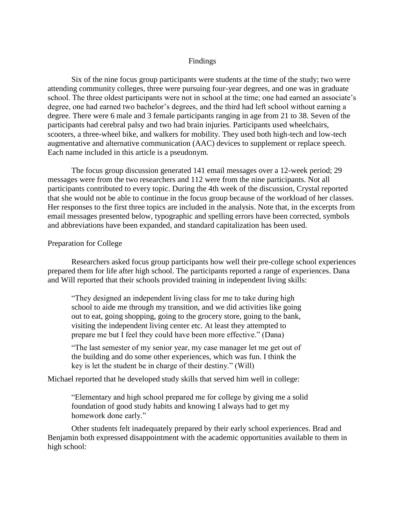## Findings

Six of the nine focus group participants were students at the time of the study; two were attending community colleges, three were pursuing four-year degrees, and one was in graduate school. The three oldest participants were not in school at the time; one had earned an associate's degree, one had earned two bachelor's degrees, and the third had left school without earning a degree. There were 6 male and 3 female participants ranging in age from 21 to 38. Seven of the participants had cerebral palsy and two had brain injuries. Participants used wheelchairs, scooters, a three-wheel bike, and walkers for mobility. They used both high-tech and low-tech augmentative and alternative communication (AAC) devices to supplement or replace speech. Each name included in this article is a pseudonym.

The focus group discussion generated 141 email messages over a 12-week period; 29 messages were from the two researchers and 112 were from the nine participants. Not all participants contributed to every topic. During the 4th week of the discussion, Crystal reported that she would not be able to continue in the focus group because of the workload of her classes. Her responses to the first three topics are included in the analysis. Note that, in the excerpts from email messages presented below, typographic and spelling errors have been corrected, symbols and abbreviations have been expanded, and standard capitalization has been used.

#### Preparation for College

Researchers asked focus group participants how well their pre-college school experiences prepared them for life after high school. The participants reported a range of experiences. Dana and Will reported that their schools provided training in independent living skills:

"They designed an independent living class for me to take during high school to aide me through my transition, and we did activities like going out to eat, going shopping, going to the grocery store, going to the bank, visiting the independent living center etc. At least they attempted to prepare me but I feel they could have been more effective." (Dana)

"The last semester of my senior year, my case manager let me get out of the building and do some other experiences, which was fun. I think the key is let the student be in charge of their destiny." (Will)

Michael reported that he developed study skills that served him well in college:

"Elementary and high school prepared me for college by giving me a solid foundation of good study habits and knowing I always had to get my homework done early."

Other students felt inadequately prepared by their early school experiences. Brad and Benjamin both expressed disappointment with the academic opportunities available to them in high school: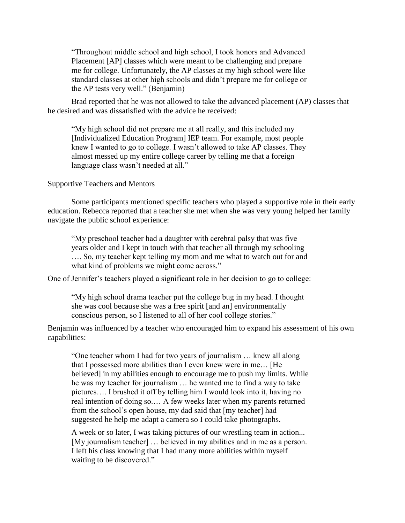"Throughout middle school and high school, I took honors and Advanced Placement [AP] classes which were meant to be challenging and prepare me for college. Unfortunately, the AP classes at my high school were like standard classes at other high schools and didn't prepare me for college or the AP tests very well." (Benjamin)

Brad reported that he was not allowed to take the advanced placement (AP) classes that he desired and was dissatisfied with the advice he received:

"My high school did not prepare me at all really, and this included my [Individualized Education Program] IEP team. For example, most people knew I wanted to go to college. I wasn't allowed to take AP classes. They almost messed up my entire college career by telling me that a foreign language class wasn't needed at all."

Supportive Teachers and Mentors

Some participants mentioned specific teachers who played a supportive role in their early education. Rebecca reported that a teacher she met when she was very young helped her family navigate the public school experience:

"My preschool teacher had a daughter with cerebral palsy that was five years older and I kept in touch with that teacher all through my schooling …. So, my teacher kept telling my mom and me what to watch out for and what kind of problems we might come across."

One of Jennifer's teachers played a significant role in her decision to go to college:

"My high school drama teacher put the college bug in my head. I thought she was cool because she was a free spirit [and an] environmentally conscious person, so I listened to all of her cool college stories."

Benjamin was influenced by a teacher who encouraged him to expand his assessment of his own capabilities:

"One teacher whom I had for two years of journalism … knew all along that I possessed more abilities than I even knew were in me… [He believed] in my abilities enough to encourage me to push my limits. While he was my teacher for journalism … he wanted me to find a way to take pictures…. I brushed it off by telling him I would look into it, having no real intention of doing so.… A few weeks later when my parents returned from the school's open house, my dad said that [my teacher] had suggested he help me adapt a camera so I could take photographs.

A week or so later, I was taking pictures of our wrestling team in action... [My journalism teacher] … believed in my abilities and in me as a person. I left his class knowing that I had many more abilities within myself waiting to be discovered."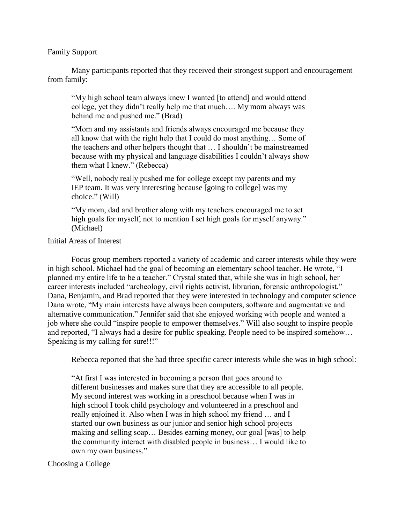Family Support

Many participants reported that they received their strongest support and encouragement from family:

"My high school team always knew I wanted [to attend] and would attend college, yet they didn't really help me that much…. My mom always was behind me and pushed me." (Brad)

"Mom and my assistants and friends always encouraged me because they all know that with the right help that I could do most anything… Some of the teachers and other helpers thought that … I shouldn't be mainstreamed because with my physical and language disabilities I couldn't always show them what I knew." (Rebecca)

"Well, nobody really pushed me for college except my parents and my IEP team. It was very interesting because [going to college] was my choice." (Will)

"My mom, dad and brother along with my teachers encouraged me to set high goals for myself, not to mention I set high goals for myself anyway." (Michael)

## Initial Areas of Interest

Focus group members reported a variety of academic and career interests while they were in high school. Michael had the goal of becoming an elementary school teacher. He wrote, "I planned my entire life to be a teacher." Crystal stated that, while she was in high school, her career interests included "archeology, civil rights activist, librarian, forensic anthropologist." Dana, Benjamin, and Brad reported that they were interested in technology and computer science Dana wrote, "My main interests have always been computers, software and augmentative and alternative communication." Jennifer said that she enjoyed working with people and wanted a job where she could "inspire people to empower themselves." Will also sought to inspire people and reported, "I always had a desire for public speaking. People need to be inspired somehow… Speaking is my calling for sure!!!"

Rebecca reported that she had three specific career interests while she was in high school:

"At first I was interested in becoming a person that goes around to different businesses and makes sure that they are accessible to all people. My second interest was working in a preschool because when I was in high school I took child psychology and volunteered in a preschool and really enjoined it. Also when I was in high school my friend … and I started our own business as our junior and senior high school projects making and selling soap… Besides earning money, our goal [was] to help the community interact with disabled people in business… I would like to own my own business."

## Choosing a College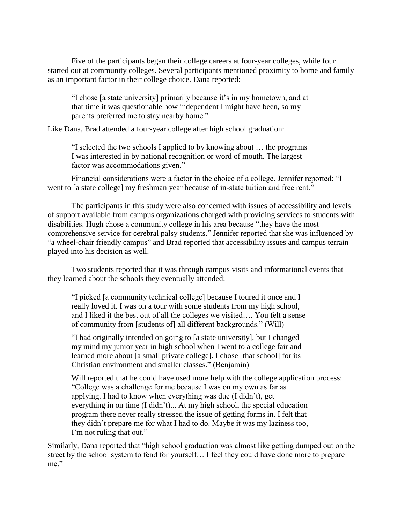Five of the participants began their college careers at four-year colleges, while four started out at community colleges. Several participants mentioned proximity to home and family as an important factor in their college choice. Dana reported:

"I chose [a state university] primarily because it's in my hometown, and at that time it was questionable how independent I might have been, so my parents preferred me to stay nearby home."

Like Dana, Brad attended a four-year college after high school graduation:

"I selected the two schools I applied to by knowing about … the programs I was interested in by national recognition or word of mouth. The largest factor was accommodations given."

Financial considerations were a factor in the choice of a college. Jennifer reported: "I went to [a state college] my freshman year because of in-state tuition and free rent."

The participants in this study were also concerned with issues of accessibility and levels of support available from campus organizations charged with providing services to students with disabilities. Hugh chose a community college in his area because "they have the most comprehensive service for cerebral palsy students." Jennifer reported that she was influenced by "a wheel-chair friendly campus" and Brad reported that accessibility issues and campus terrain played into his decision as well.

Two students reported that it was through campus visits and informational events that they learned about the schools they eventually attended:

"I picked [a community technical college] because I toured it once and I really loved it. I was on a tour with some students from my high school, and I liked it the best out of all the colleges we visited…. You felt a sense of community from [students of] all different backgrounds." (Will)

"I had originally intended on going to [a state university], but I changed my mind my junior year in high school when I went to a college fair and learned more about [a small private college]. I chose [that school] for its Christian environment and smaller classes." (Benjamin)

Will reported that he could have used more help with the college application process: "College was a challenge for me because I was on my own as far as applying. I had to know when everything was due (I didn't), get everything in on time (I didn't)... At my high school, the special education program there never really stressed the issue of getting forms in. I felt that they didn't prepare me for what I had to do. Maybe it was my laziness too, I'm not ruling that out."

Similarly, Dana reported that "high school graduation was almost like getting dumped out on the street by the school system to fend for yourself… I feel they could have done more to prepare me."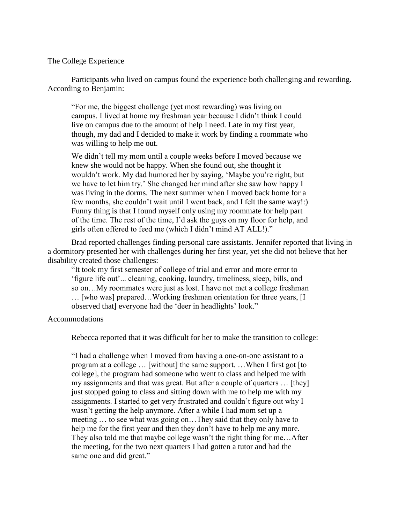### The College Experience

Participants who lived on campus found the experience both challenging and rewarding. According to Benjamin:

"For me, the biggest challenge (yet most rewarding) was living on campus. I lived at home my freshman year because I didn't think I could live on campus due to the amount of help I need. Late in my first year, though, my dad and I decided to make it work by finding a roommate who was willing to help me out.

We didn't tell my mom until a couple weeks before I moved because we knew she would not be happy. When she found out, she thought it wouldn't work. My dad humored her by saying, 'Maybe you're right, but we have to let him try.' She changed her mind after she saw how happy I was living in the dorms. The next summer when I moved back home for a few months, she couldn't wait until I went back, and I felt the same way!:) Funny thing is that I found myself only using my roommate for help part of the time. The rest of the time, I'd ask the guys on my floor for help, and girls often offered to feed me (which I didn't mind AT ALL!)."

Brad reported challenges finding personal care assistants. Jennifer reported that living in a dormitory presented her with challenges during her first year, yet she did not believe that her disability created those challenges:

"It took my first semester of college of trial and error and more error to 'figure life out'... cleaning, cooking, laundry, timeliness, sleep, bills, and so on…My roommates were just as lost. I have not met a college freshman … [who was] prepared…Working freshman orientation for three years, [I observed that] everyone had the 'deer in headlights' look."

### Accommodations

Rebecca reported that it was difficult for her to make the transition to college:

"I had a challenge when I moved from having a one-on-one assistant to a program at a college … [without] the same support. …When I first got [to college], the program had someone who went to class and helped me with my assignments and that was great. But after a couple of quarters … [they] just stopped going to class and sitting down with me to help me with my assignments. I started to get very frustrated and couldn't figure out why I wasn't getting the help anymore. After a while I had mom set up a meeting … to see what was going on…They said that they only have to help me for the first year and then they don't have to help me any more. They also told me that maybe college wasn't the right thing for me…After the meeting, for the two next quarters I had gotten a tutor and had the same one and did great."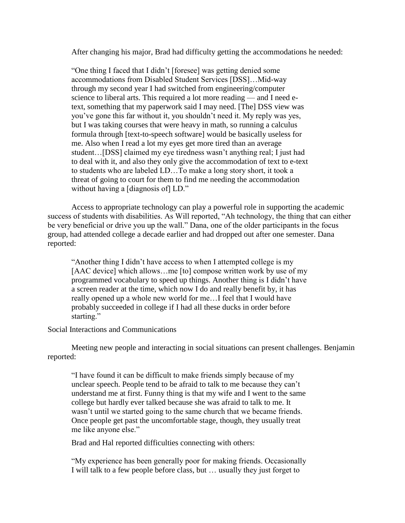After changing his major, Brad had difficulty getting the accommodations he needed:

"One thing I faced that I didn't [foresee] was getting denied some accommodations from Disabled Student Services [DSS]…Mid-way through my second year I had switched from engineering/computer science to liberal arts. This required a lot more reading — and I need etext, something that my paperwork said I may need. [The] DSS view was you've gone this far without it, you shouldn't need it. My reply was yes, but I was taking courses that were heavy in math, so running a calculus formula through [text-to-speech software] would be basically useless for me. Also when I read a lot my eyes get more tired than an average student…[DSS] claimed my eye tiredness wasn't anything real; I just had to deal with it, and also they only give the accommodation of text to e-text to students who are labeled LD…To make a long story short, it took a threat of going to court for them to find me needing the accommodation without having a [diagnosis of] LD."

Access to appropriate technology can play a powerful role in supporting the academic success of students with disabilities. As Will reported, "Ah technology, the thing that can either be very beneficial or drive you up the wall." Dana, one of the older participants in the focus group, had attended college a decade earlier and had dropped out after one semester. Dana reported:

"Another thing I didn't have access to when I attempted college is my [AAC device] which allows...me [to] compose written work by use of my programmed vocabulary to speed up things. Another thing is I didn't have a screen reader at the time, which now I do and really benefit by, it has really opened up a whole new world for me…I feel that I would have probably succeeded in college if I had all these ducks in order before starting."

### Social Interactions and Communications

Meeting new people and interacting in social situations can present challenges. Benjamin reported:

"I have found it can be difficult to make friends simply because of my unclear speech. People tend to be afraid to talk to me because they can't understand me at first. Funny thing is that my wife and I went to the same college but hardly ever talked because she was afraid to talk to me. It wasn't until we started going to the same church that we became friends. Once people get past the uncomfortable stage, though, they usually treat me like anyone else."

Brad and Hal reported difficulties connecting with others:

"My experience has been generally poor for making friends. Occasionally I will talk to a few people before class, but … usually they just forget to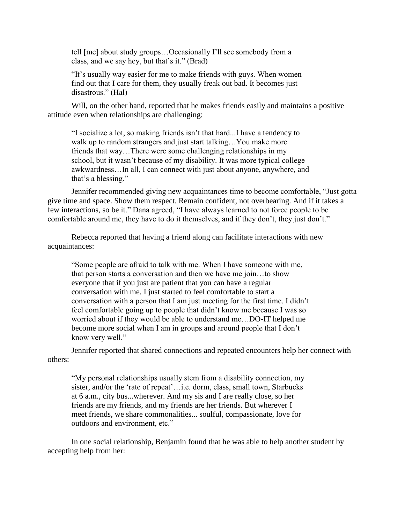tell [me] about study groups…Occasionally I'll see somebody from a class, and we say hey, but that's it." (Brad)

"It's usually way easier for me to make friends with guys. When women find out that I care for them, they usually freak out bad. It becomes just disastrous." (Hal)

Will, on the other hand, reported that he makes friends easily and maintains a positive attitude even when relationships are challenging:

"I socialize a lot, so making friends isn't that hard...I have a tendency to walk up to random strangers and just start talking... You make more friends that way…There were some challenging relationships in my school, but it wasn't because of my disability. It was more typical college awkwardness…In all, I can connect with just about anyone, anywhere, and that's a blessing."

Jennifer recommended giving new acquaintances time to become comfortable, "Just gotta give time and space. Show them respect. Remain confident, not overbearing. And if it takes a few interactions, so be it." Dana agreed, "I have always learned to not force people to be comfortable around me, they have to do it themselves, and if they don't, they just don't."

Rebecca reported that having a friend along can facilitate interactions with new acquaintances:

"Some people are afraid to talk with me. When I have someone with me, that person starts a conversation and then we have me join…to show everyone that if you just are patient that you can have a regular conversation with me. I just started to feel comfortable to start a conversation with a person that I am just meeting for the first time. I didn't feel comfortable going up to people that didn't know me because I was so worried about if they would be able to understand me…DO-IT helped me become more social when I am in groups and around people that I don't know very well."

Jennifer reported that shared connections and repeated encounters help her connect with others:

"My personal relationships usually stem from a disability connection, my sister, and/or the 'rate of repeat'…i.e. dorm, class, small town, Starbucks at 6 a.m., city bus...wherever. And my sis and I are really close, so her friends are my friends, and my friends are her friends. But wherever I meet friends, we share commonalities... soulful, compassionate, love for outdoors and environment, etc."

In one social relationship, Benjamin found that he was able to help another student by accepting help from her: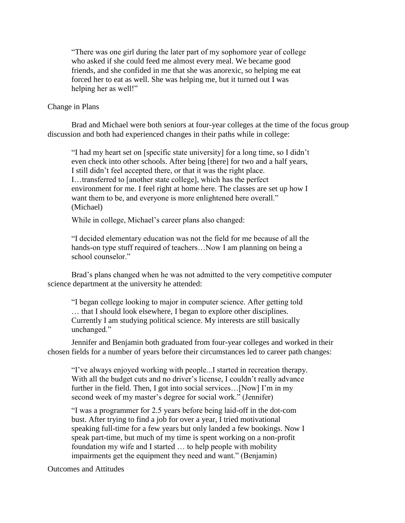"There was one girl during the later part of my sophomore year of college who asked if she could feed me almost every meal. We became good friends, and she confided in me that she was anorexic, so helping me eat forced her to eat as well. She was helping me, but it turned out I was helping her as well!"

## Change in Plans

Brad and Michael were both seniors at four-year colleges at the time of the focus group discussion and both had experienced changes in their paths while in college:

"I had my heart set on [specific state university] for a long time, so I didn't even check into other schools. After being [there] for two and a half years, I still didn't feel accepted there, or that it was the right place. I…transferred to [another state college], which has the perfect environment for me. I feel right at home here. The classes are set up how I want them to be, and everyone is more enlightened here overall." (Michael)

While in college, Michael's career plans also changed:

"I decided elementary education was not the field for me because of all the hands-on type stuff required of teachers...Now I am planning on being a school counselor."

Brad's plans changed when he was not admitted to the very competitive computer science department at the university he attended:

"I began college looking to major in computer science. After getting told … that I should look elsewhere, I began to explore other disciplines. Currently I am studying political science. My interests are still basically unchanged."

Jennifer and Benjamin both graduated from four-year colleges and worked in their chosen fields for a number of years before their circumstances led to career path changes:

"I've always enjoyed working with people...I started in recreation therapy. With all the budget cuts and no driver's license, I couldn't really advance further in the field. Then, I got into social services... [Now] I'm in my second week of my master's degree for social work." (Jennifer)

"I was a programmer for 2.5 years before being laid-off in the dot-com bust. After trying to find a job for over a year, I tried motivational speaking full-time for a few years but only landed a few bookings. Now I speak part-time, but much of my time is spent working on a non-profit foundation my wife and I started … to help people with mobility impairments get the equipment they need and want." (Benjamin)

Outcomes and Attitudes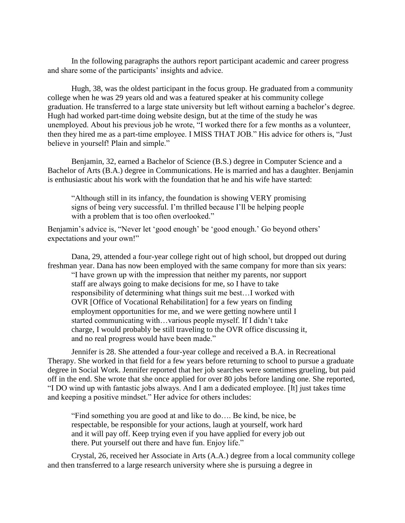In the following paragraphs the authors report participant academic and career progress and share some of the participants' insights and advice.

Hugh, 38, was the oldest participant in the focus group. He graduated from a community college when he was 29 years old and was a featured speaker at his community college graduation. He transferred to a large state university but left without earning a bachelor's degree. Hugh had worked part-time doing website design, but at the time of the study he was unemployed. About his previous job he wrote, "I worked there for a few months as a volunteer, then they hired me as a part-time employee. I MISS THAT JOB." His advice for others is, "Just believe in yourself! Plain and simple."

Benjamin, 32, earned a Bachelor of Science (B.S.) degree in Computer Science and a Bachelor of Arts (B.A.) degree in Communications. He is married and has a daughter. Benjamin is enthusiastic about his work with the foundation that he and his wife have started:

"Although still in its infancy, the foundation is showing VERY promising signs of being very successful. I'm thrilled because I'll be helping people with a problem that is too often overlooked."

Benjamin's advice is, "Never let 'good enough' be 'good enough.' Go beyond others' expectations and your own!"

Dana, 29, attended a four-year college right out of high school, but dropped out during freshman year. Dana has now been employed with the same company for more than six years:

"I have grown up with the impression that neither my parents, nor support staff are always going to make decisions for me, so I have to take responsibility of determining what things suit me best…I worked with OVR [Office of Vocational Rehabilitation] for a few years on finding employment opportunities for me, and we were getting nowhere until I started communicating with…various people myself. If I didn't take charge, I would probably be still traveling to the OVR office discussing it, and no real progress would have been made."

Jennifer is 28. She attended a four-year college and received a B.A. in Recreational Therapy. She worked in that field for a few years before returning to school to pursue a graduate degree in Social Work. Jennifer reported that her job searches were sometimes grueling, but paid off in the end. She wrote that she once applied for over 80 jobs before landing one. She reported, "I DO wind up with fantastic jobs always. And I am a dedicated employee. [It] just takes time and keeping a positive mindset." Her advice for others includes:

"Find something you are good at and like to do…. Be kind, be nice, be respectable, be responsible for your actions, laugh at yourself, work hard and it will pay off. Keep trying even if you have applied for every job out there. Put yourself out there and have fun. Enjoy life."

Crystal, 26, received her Associate in Arts (A.A.) degree from a local community college and then transferred to a large research university where she is pursuing a degree in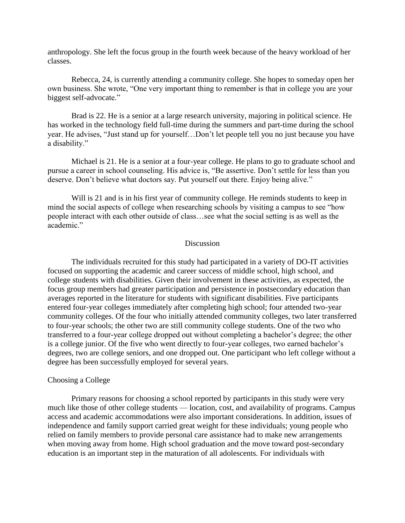anthropology. She left the focus group in the fourth week because of the heavy workload of her classes.

Rebecca, 24, is currently attending a community college. She hopes to someday open her own business. She wrote, "One very important thing to remember is that in college you are your biggest self-advocate."

Brad is 22. He is a senior at a large research university, majoring in political science. He has worked in the technology field full-time during the summers and part-time during the school year. He advises, "Just stand up for yourself…Don't let people tell you no just because you have a disability."

Michael is 21. He is a senior at a four-year college. He plans to go to graduate school and pursue a career in school counseling. His advice is, "Be assertive. Don't settle for less than you deserve. Don't believe what doctors say. Put yourself out there. Enjoy being alive."

Will is 21 and is in his first year of community college. He reminds students to keep in mind the social aspects of college when researching schools by visiting a campus to see "how people interact with each other outside of class…see what the social setting is as well as the academic."

### Discussion

The individuals recruited for this study had participated in a variety of DO-IT activities focused on supporting the academic and career success of middle school, high school, and college students with disabilities. Given their involvement in these activities, as expected, the focus group members had greater participation and persistence in postsecondary education than averages reported in the literature for students with significant disabilities. Five participants entered four-year colleges immediately after completing high school; four attended two-year community colleges. Of the four who initially attended community colleges, two later transferred to four-year schools; the other two are still community college students. One of the two who transferred to a four-year college dropped out without completing a bachelor's degree; the other is a college junior. Of the five who went directly to four-year colleges, two earned bachelor's degrees, two are college seniors, and one dropped out. One participant who left college without a degree has been successfully employed for several years.

#### Choosing a College

Primary reasons for choosing a school reported by participants in this study were very much like those of other college students — location, cost, and availability of programs. Campus access and academic accommodations were also important considerations. In addition, issues of independence and family support carried great weight for these individuals; young people who relied on family members to provide personal care assistance had to make new arrangements when moving away from home. High school graduation and the move toward post-secondary education is an important step in the maturation of all adolescents. For individuals with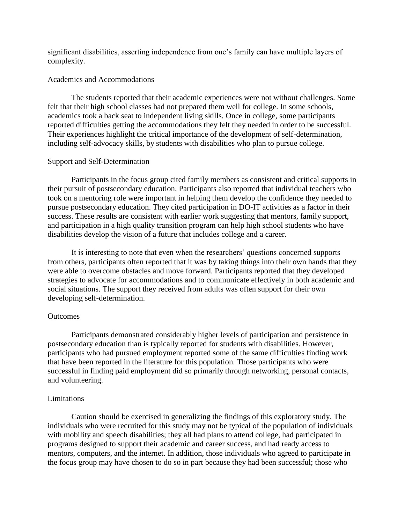significant disabilities, asserting independence from one's family can have multiple layers of complexity.

## Academics and Accommodations

The students reported that their academic experiences were not without challenges. Some felt that their high school classes had not prepared them well for college. In some schools, academics took a back seat to independent living skills. Once in college, some participants reported difficulties getting the accommodations they felt they needed in order to be successful. Their experiences highlight the critical importance of the development of self-determination, including self-advocacy skills, by students with disabilities who plan to pursue college.

## Support and Self-Determination

Participants in the focus group cited family members as consistent and critical supports in their pursuit of postsecondary education. Participants also reported that individual teachers who took on a mentoring role were important in helping them develop the confidence they needed to pursue postsecondary education. They cited participation in DO-IT activities as a factor in their success. These results are consistent with earlier work suggesting that mentors, family support, and participation in a high quality transition program can help high school students who have disabilities develop the vision of a future that includes college and a career.

It is interesting to note that even when the researchers' questions concerned supports from others, participants often reported that it was by taking things into their own hands that they were able to overcome obstacles and move forward. Participants reported that they developed strategies to advocate for accommodations and to communicate effectively in both academic and social situations. The support they received from adults was often support for their own developing self-determination.

## **Outcomes**

Participants demonstrated considerably higher levels of participation and persistence in postsecondary education than is typically reported for students with disabilities. However, participants who had pursued employment reported some of the same difficulties finding work that have been reported in the literature for this population. Those participants who were successful in finding paid employment did so primarily through networking, personal contacts, and volunteering.

## Limitations

Caution should be exercised in generalizing the findings of this exploratory study. The individuals who were recruited for this study may not be typical of the population of individuals with mobility and speech disabilities; they all had plans to attend college, had participated in programs designed to support their academic and career success, and had ready access to mentors, computers, and the internet. In addition, those individuals who agreed to participate in the focus group may have chosen to do so in part because they had been successful; those who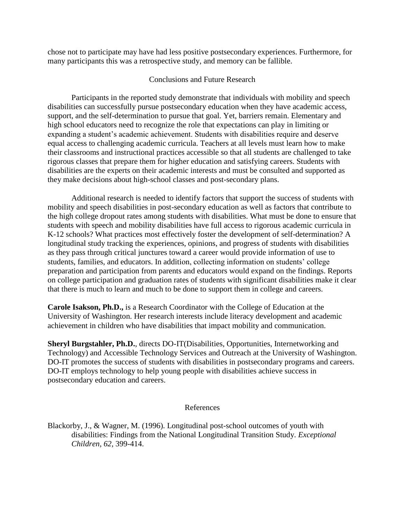chose not to participate may have had less positive postsecondary experiences. Furthermore, for many participants this was a retrospective study, and memory can be fallible.

## Conclusions and Future Research

Participants in the reported study demonstrate that individuals with mobility and speech disabilities can successfully pursue postsecondary education when they have academic access, support, and the self-determination to pursue that goal. Yet, barriers remain. Elementary and high school educators need to recognize the role that expectations can play in limiting or expanding a student's academic achievement. Students with disabilities require and deserve equal access to challenging academic curricula. Teachers at all levels must learn how to make their classrooms and instructional practices accessible so that all students are challenged to take rigorous classes that prepare them for higher education and satisfying careers. Students with disabilities are the experts on their academic interests and must be consulted and supported as they make decisions about high-school classes and post-secondary plans.

Additional research is needed to identify factors that support the success of students with mobility and speech disabilities in post-secondary education as well as factors that contribute to the high college dropout rates among students with disabilities. What must be done to ensure that students with speech and mobility disabilities have full access to rigorous academic curricula in K-12 schools? What practices most effectively foster the development of self-determination? A longitudinal study tracking the experiences, opinions, and progress of students with disabilities as they pass through critical junctures toward a career would provide information of use to students, families, and educators. In addition, collecting information on students' college preparation and participation from parents and educators would expand on the findings. Reports on college participation and graduation rates of students with significant disabilities make it clear that there is much to learn and much to be done to support them in college and careers.

**Carole Isakson, Ph.D.,** is a Research Coordinator with the College of Education at the University of Washington. Her research interests include literacy development and academic achievement in children who have disabilities that impact mobility and communication.

**Sheryl Burgstahler, Ph.D.**, directs DO-IT(Disabilities, Opportunities, Internetworking and Technology) and Accessible Technology Services and Outreach at the University of Washington. DO-IT promotes the success of students with disabilities in postsecondary programs and careers. DO-IT employs technology to help young people with disabilities achieve success in postsecondary education and careers.

## References

Blackorby, J., & Wagner, M. (1996). Longitudinal post-school outcomes of youth with disabilities: Findings from the National Longitudinal Transition Study. *Exceptional Children, 62,* 399-414.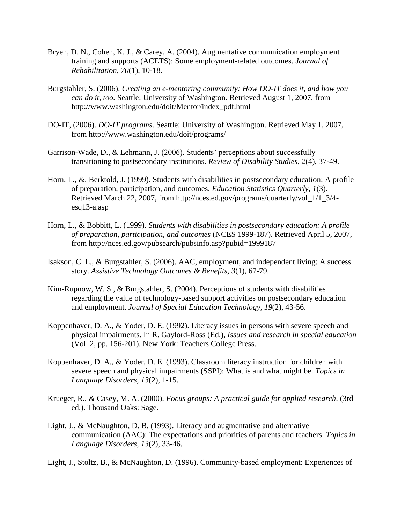- Bryen, D. N., Cohen, K. J., & Carey, A. (2004). Augmentative communication employment training and supports (ACETS): Some employment-related outcomes. *Journal of Rehabilitation, 70*(1), 10-18.
- Burgstahler, S. (2006). *Creating an e-mentoring community: How DO-IT does it, and how you can do it, too.* Seattle: University of Washington. Retrieved August 1, 2007, from http://www.washington.edu/doit/Mentor/index\_pdf.html
- DO-IT, (2006). *DO-IT programs*. Seattle: University of Washington. Retrieved May 1, 2007, from http://www.washington.edu/doit/programs/
- Garrison-Wade, D., & Lehmann, J. (2006). Students' perceptions about successfully transitioning to postsecondary institutions. *Review of Disability Studies, 2*(4), 37-49.
- Horn, L., &. Berktold, J. (1999). Students with disabilities in postsecondary education: A profile of preparation, participation, and outcomes. *Education Statistics Quarterly, 1*(3). Retrieved March 22, 2007, from http://nces.ed.gov/programs/quarterly/vol\_1/1\_3/4 esq13-a.asp
- Horn, L., & Bobbitt, L. (1999). *Students with disabilities in postsecondary education: A profile of preparation, participation, and outcomes* (NCES 1999-187). Retrieved April 5, 2007, from http://nces.ed.gov/pubsearch/pubsinfo.asp?pubid=1999187
- Isakson, C. L., & Burgstahler, S. (2006). AAC, employment, and independent living: A success story. *Assistive Technology Outcomes & Benefits, 3*(1), 67-79.
- Kim-Rupnow, W. S., & Burgstahler, S. (2004). Perceptions of students with disabilities regarding the value of technology-based support activities on postsecondary education and employment. *Journal of Special Education Technology, 19*(2), 43-56.
- Koppenhaver, D. A., & Yoder, D. E. (1992). Literacy issues in persons with severe speech and physical impairments. In R. Gaylord-Ross (Ed.), *Issues and research in special education* (Vol. 2, pp. 156-201). New York: Teachers College Press.
- Koppenhaver, D. A., & Yoder, D. E. (1993). Classroom literacy instruction for children with severe speech and physical impairments (SSPI): What is and what might be. *Topics in Language Disorders, 13*(2), 1-15.
- Krueger, R., & Casey, M. A. (2000). *Focus groups: A practical guide for applied research*. (3rd ed.). Thousand Oaks: Sage.
- Light, J., & McNaughton, D. B. (1993). Literacy and augmentative and alternative communication (AAC): The expectations and priorities of parents and teachers. *Topics in Language Disorders*, *13*(2), 33-46.
- Light, J., Stoltz, B., & McNaughton, D. (1996). Community-based employment: Experiences of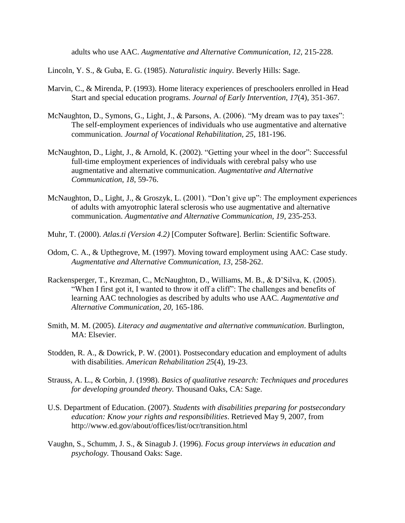adults who use AAC. *Augmentative and Alternative Communication, 12,* 215-228.

Lincoln, Y. S., & Guba, E. G. (1985). *Naturalistic inquiry*. Beverly Hills: Sage.

- Marvin, C., & Mirenda, P. (1993). Home literacy experiences of preschoolers enrolled in Head Start and special education programs. *Journal of Early Intervention, 17*(4), 351-367.
- McNaughton, D., Symons, G., Light, J., & Parsons, A. (2006). "My dream was to pay taxes": The self-employment experiences of individuals who use augmentative and alternative communication. *Journal of Vocational Rehabilitation, 25*, 181-196.
- McNaughton, D., Light, J., & Arnold, K. (2002). "Getting your wheel in the door": Successful full-time employment experiences of individuals with cerebral palsy who use augmentative and alternative communication*. Augmentative and Alternative Communication, 18*, 59-76.
- McNaughton, D., Light, J., & Groszyk, L. (2001). "Don't give up": The employment experiences of adults with amyotrophic lateral sclerosis who use augmentative and alternative communication. *Augmentative and Alternative Communication, 19*, 235-253.
- Muhr, T. (2000). *Atlas.ti (Version 4.2)* [Computer Software]. Berlin: Scientific Software.
- Odom, C. A., & Upthegrove, M. (1997). Moving toward employment using AAC: Case study. *Augmentative and Alternative Communication, 13*, 258-262.
- Rackensperger, T., Krezman, C., McNaughton, D., Williams, M. B., & D'Silva, K. (2005). "When I first got it, I wanted to throw it off a cliff": The challenges and benefits of learning AAC technologies as described by adults who use AAC. *Augmentative and Alternative Communication, 20,* 165-186.
- Smith, M. M. (2005). *Literacy and augmentative and alternative communication*. Burlington, MA: Elsevier.
- Stodden, R. A., & Dowrick, P. W. (2001). Postsecondary education and employment of adults with disabilities. *American Rehabilitation 25*(4), 19-23.
- Strauss, A. L., & Corbin, J. (1998). *Basics of qualitative research: Techniques and procedures for developing grounded theory.* Thousand Oaks, CA: Sage.
- U.S. Department of Education. (2007). *Students with disabilities preparing for postsecondary education: Know your rights and responsibilities*. Retrieved May 9, 2007, from http://www.ed.gov/about/offices/list/ocr/transition.html
- Vaughn, S., Schumm, J. S., & Sinagub J. (1996). *Focus group interviews in education and psychology.* Thousand Oaks: Sage.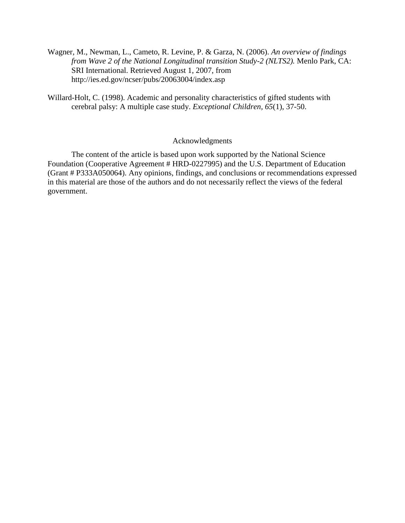- Wagner, M., Newman, L., Cameto, R. Levine, P. & Garza, N. (2006). *An overview of findings from Wave 2 of the National Longitudinal transition Study-2 (NLTS2).* Menlo Park, CA: SRI International. Retrieved August 1, 2007, from http://ies.ed.gov/ncser/pubs/20063004/index.asp
- Willard-Holt, C. (1998). Academic and personality characteristics of gifted students with cerebral palsy: A multiple case study. *Exceptional Children, 65*(1), 37-50.

## Acknowledgments

The content of the article is based upon work supported by the National Science Foundation (Cooperative Agreement # HRD-0227995) and the U.S. Department of Education (Grant # P333A050064). Any opinions, findings, and conclusions or recommendations expressed in this material are those of the authors and do not necessarily reflect the views of the federal government.